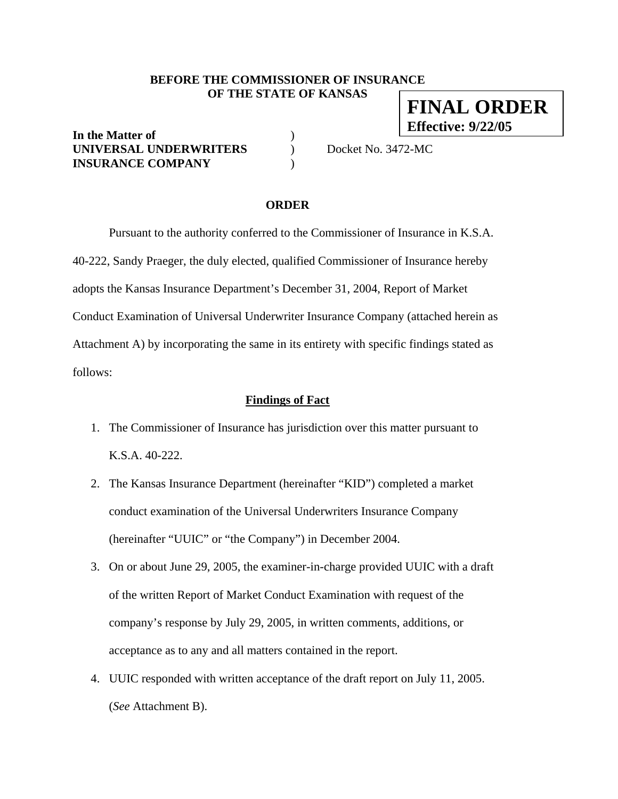## **BEFORE THE COMMISSIONER OF INSURANCE OF THE STATE OF KANSAS FINAL ORDER**

**In the Matter of** ) **UNIVERSAL UNDERWRITERS** ) Docket No. 3472-MC **INSURANCE COMPANY** )

**Effective: 9/22/05**

#### **ORDER**

 Pursuant to the authority conferred to the Commissioner of Insurance in K.S.A. 40-222, Sandy Praeger, the duly elected, qualified Commissioner of Insurance hereby adopts the Kansas Insurance Department's December 31, 2004, Report of Market Conduct Examination of Universal Underwriter Insurance Company (attached herein as Attachment A) by incorporating the same in its entirety with specific findings stated as follows:

#### **Findings of Fact**

- 1. The Commissioner of Insurance has jurisdiction over this matter pursuant to K.S.A. 40-222.
- 2. The Kansas Insurance Department (hereinafter "KID") completed a market conduct examination of the Universal Underwriters Insurance Company (hereinafter "UUIC" or "the Company") in December 2004.
- 3. On or about June 29, 2005, the examiner-in-charge provided UUIC with a draft of the written Report of Market Conduct Examination with request of the company's response by July 29, 2005, in written comments, additions, or acceptance as to any and all matters contained in the report.
- 4. UUIC responded with written acceptance of the draft report on July 11, 2005. (*See* Attachment B).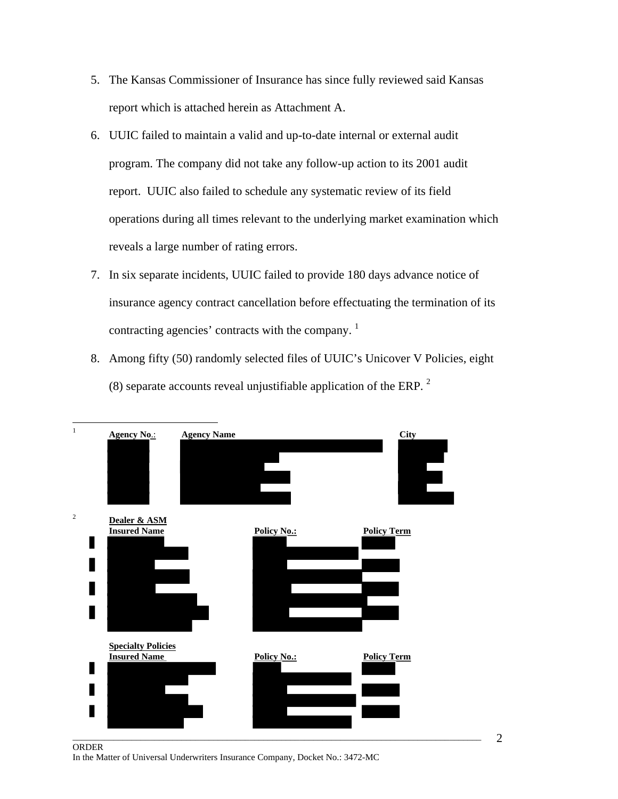- 5. The Kansas Commissioner of Insurance has since fully reviewed said Kansas report which is attached herein as Attachment A.
- 6. UUIC failed to maintain a valid and up-to-date internal or external audit program. The company did not take any follow-up action to its 2001 audit report. UUIC also failed to schedule any systematic review of its field operations during all times relevant to the underlying market examination which reveals a large number of rating errors.
- 7. In six separate incidents, UUIC failed to provide 180 days advance notice of insurance agency contract cancellation before effectuating the termination of its contracting agencies' contracts with the company.<sup>1</sup>
- 8. Among fifty (50) randomly selected files of UUIC's Unicover V Policies, eight (8) separate accounts reveal unjustifiable application of the ERP.  $2$



ORDER In the Matter of Universal Underwriters Insurance Company, Docket No.: 3472-MC 2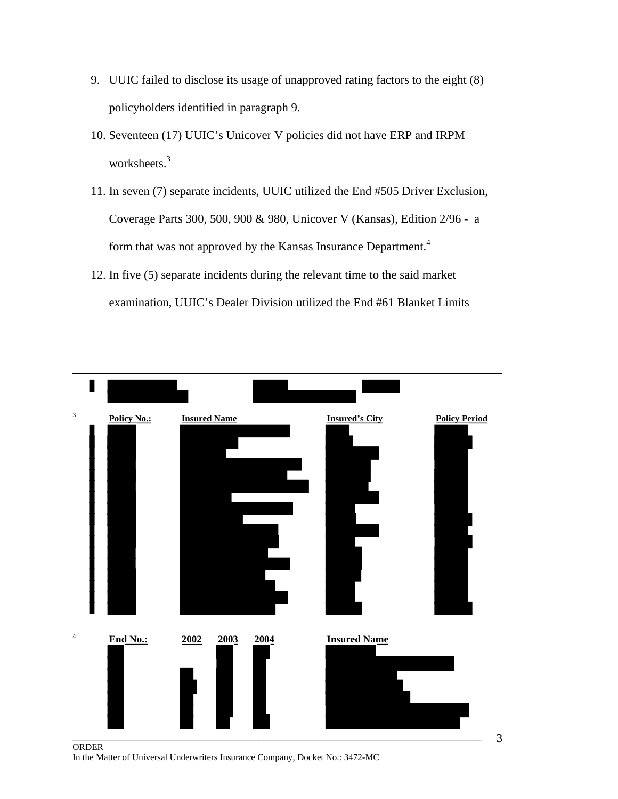- 9. UUIC failed to disclose its usage of unapproved rating factors to the eight (8) policyholders identified in paragraph 9.
- 10. Seventeen (17) UUIC's Unicover V policies did not have ERP and IRPM worksheets.<sup>3</sup>
- 11. In seven (7) separate incidents, UUIC utilized the End #505 Driver Exclusion, Coverage Parts 300, 500, 900 & 980, Unicover V (Kansas), Edition 2/96 - a form that was not approved by the Kansas Insurance Department.<sup>4</sup>
- 12. In five (5) separate incidents during the relevant time to the said market examination, UUIC's Dealer Division utilized the End #61 Blanket Limits



ORDER In the Matter of Universal Underwriters Insurance Company, Docket No.: 3472-MC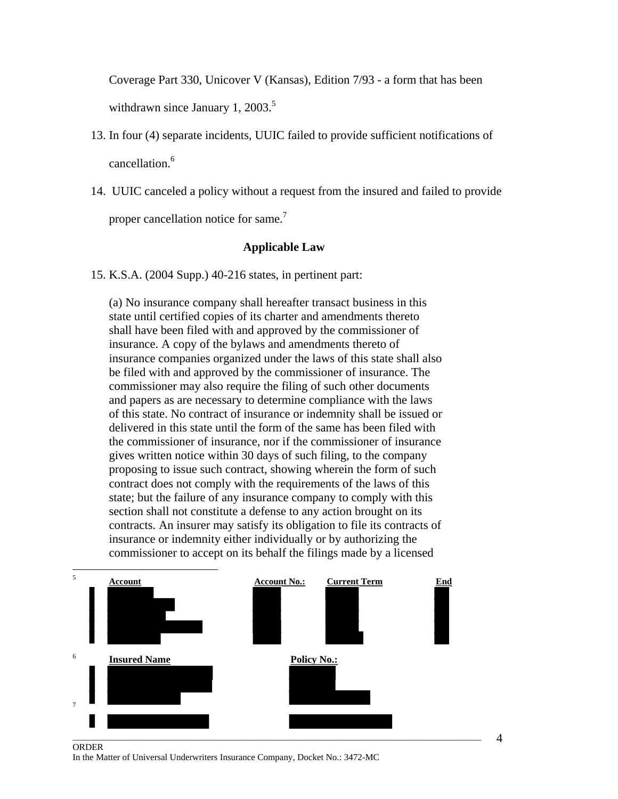Coverage Part 330, Unicover V (Kansas), Edition 7/93 - a form that has been

withdrawn since January 1, 2003. $5$ 

- 13. In four (4) separate incidents, UUIC failed to provide sufficient notifications of cancellation.6
- 14. UUIC canceled a policy without a request from the insured and failed to provide

proper cancellation notice for same. $<sup>7</sup>$ </sup>

## **Applicable Law**

15. K.S.A. (2004 Supp.) 40-216 states, in pertinent part:

(a) No insurance company shall hereafter transact business in this state until certified copies of its charter and amendments thereto shall have been filed with and approved by the commissioner of insurance. A copy of the bylaws and amendments thereto of insurance companies organized under the laws of this state shall also be filed with and approved by the commissioner of insurance. The commissioner may also require the filing of such other documents and papers as are necessary to determine compliance with the laws of this state. No contract of insurance or indemnity shall be issued or delivered in this state until the form of the same has been filed with the commissioner of insurance, nor if the commissioner of insurance gives written notice within 30 days of such filing, to the company proposing to issue such contract, showing wherein the form of such contract does not comply with the requirements of the laws of this state; but the failure of any insurance company to comply with this section shall not constitute a defense to any action brought on its contracts. An insurer may satisfy its obligation to file its contracts of insurance or indemnity either individually or by authorizing the commissioner to accept on its behalf the filings made by a licensed



ORDER In the Matter of Universal Underwriters Insurance Company, Docket No.: 3472-MC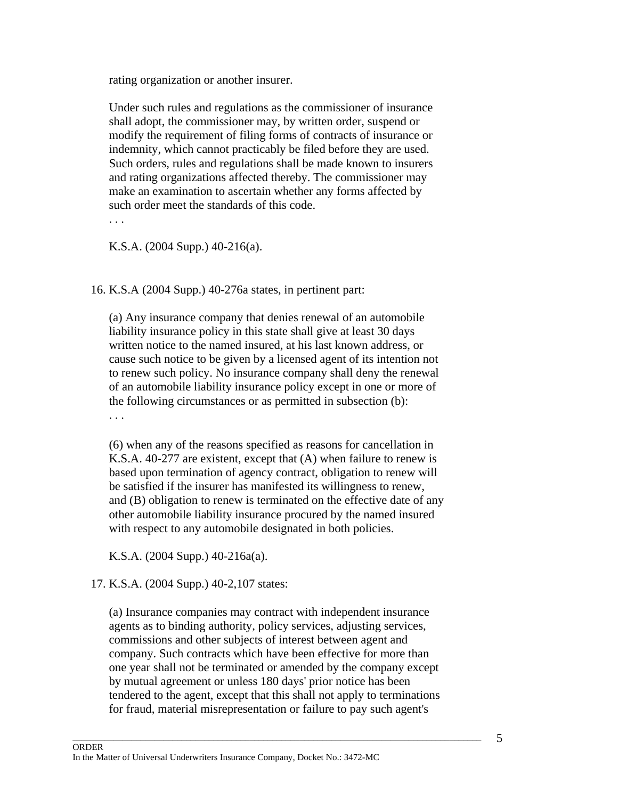rating organization or another insurer.

Under such rules and regulations as the commissioner of insurance shall adopt, the commissioner may, by written order, suspend or modify the requirement of filing forms of contracts of insurance or indemnity, which cannot practicably be filed before they are used. Such orders, rules and regulations shall be made known to insurers and rating organizations affected thereby. The commissioner may make an examination to ascertain whether any forms affected by such order meet the standards of this code.

K.S.A. (2004 Supp.) 40-216(a).

16. K.S.A (2004 Supp.) 40-276a states, in pertinent part:

(a) Any insurance company that denies renewal of an automobile liability insurance policy in this state shall give at least 30 days written notice to the named insured, at his last known address, or cause such notice to be given by a licensed agent of its intention not to renew such policy. No insurance company shall deny the renewal of an automobile liability insurance policy except in one or more of the following circumstances or as permitted in subsection (b): . . .

(6) when any of the reasons specified as reasons for cancellation in K.S.A. 40-277 are existent, except that (A) when failure to renew is based upon termination of agency contract, obligation to renew will be satisfied if the insurer has manifested its willingness to renew, and (B) obligation to renew is terminated on the effective date of any other automobile liability insurance procured by the named insured with respect to any automobile designated in both policies.

K.S.A. (2004 Supp.) 40-216a(a).

## 17. K.S.A. (2004 Supp.) 40-2,107 states:

(a) Insurance companies may contract with independent insurance agents as to binding authority, policy services, adjusting services, commissions and other subjects of interest between agent and company. Such contracts which have been effective for more than one year shall not be terminated or amended by the company except by mutual agreement or unless 180 days' prior notice has been tendered to the agent, except that this shall not apply to terminations for fraud, material misrepresentation or failure to pay such agent's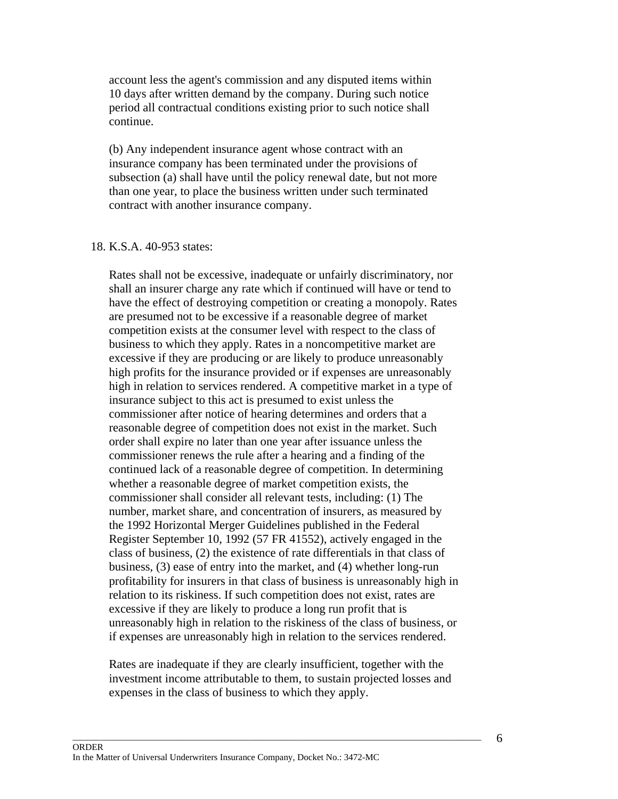account less the agent's commission and any disputed items within 10 days after written demand by the company. During such notice period all contractual conditions existing prior to such notice shall continue.

(b) Any independent insurance agent whose contract with an insurance company has been terminated under the provisions of subsection (a) shall have until the policy renewal date, but not more than one year, to place the business written under such terminated contract with another insurance company.

#### 18. K.S.A. 40-953 states:

Rates shall not be excessive, inadequate or unfairly discriminatory, nor shall an insurer charge any rate which if continued will have or tend to have the effect of destroying competition or creating a monopoly. Rates are presumed not to be excessive if a reasonable degree of market competition exists at the consumer level with respect to the class of business to which they apply. Rates in a noncompetitive market are excessive if they are producing or are likely to produce unreasonably high profits for the insurance provided or if expenses are unreasonably high in relation to services rendered. A competitive market in a type of insurance subject to this act is presumed to exist unless the commissioner after notice of hearing determines and orders that a reasonable degree of competition does not exist in the market. Such order shall expire no later than one year after issuance unless the commissioner renews the rule after a hearing and a finding of the continued lack of a reasonable degree of competition. In determining whether a reasonable degree of market competition exists, the commissioner shall consider all relevant tests, including: (1) The number, market share, and concentration of insurers, as measured by the 1992 Horizontal Merger Guidelines published in the Federal Register September 10, 1992 (57 FR 41552), actively engaged in the class of business, (2) the existence of rate differentials in that class of business, (3) ease of entry into the market, and (4) whether long-run profitability for insurers in that class of business is unreasonably high in relation to its riskiness. If such competition does not exist, rates are excessive if they are likely to produce a long run profit that is unreasonably high in relation to the riskiness of the class of business, or if expenses are unreasonably high in relation to the services rendered.

Rates are inadequate if they are clearly insufficient, together with the investment income attributable to them, to sustain projected losses and expenses in the class of business to which they apply.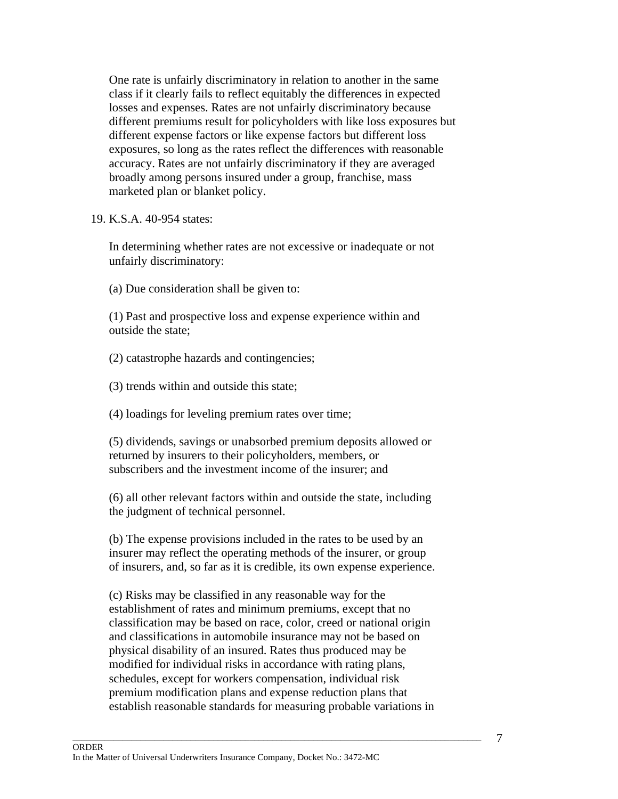One rate is unfairly discriminatory in relation to another in the same class if it clearly fails to reflect equitably the differences in expected losses and expenses. Rates are not unfairly discriminatory because different premiums result for policyholders with like loss exposures but different expense factors or like expense factors but different loss exposures, so long as the rates reflect the differences with reasonable accuracy. Rates are not unfairly discriminatory if they are averaged broadly among persons insured under a group, franchise, mass marketed plan or blanket policy.

#### 19. K.S.A. 40-954 states:

In determining whether rates are not excessive or inadequate or not unfairly discriminatory:

(a) Due consideration shall be given to:

(1) Past and prospective loss and expense experience within and outside the state;

(2) catastrophe hazards and contingencies;

(3) trends within and outside this state;

(4) loadings for leveling premium rates over time;

(5) dividends, savings or unabsorbed premium deposits allowed or returned by insurers to their policyholders, members, or subscribers and the investment income of the insurer; and

(6) all other relevant factors within and outside the state, including the judgment of technical personnel.

(b) The expense provisions included in the rates to be used by an insurer may reflect the operating methods of the insurer, or group of insurers, and, so far as it is credible, its own expense experience.

(c) Risks may be classified in any reasonable way for the establishment of rates and minimum premiums, except that no classification may be based on race, color, creed or national origin and classifications in automobile insurance may not be based on physical disability of an insured. Rates thus produced may be modified for individual risks in accordance with rating plans, schedules, except for workers compensation, individual risk premium modification plans and expense reduction plans that establish reasonable standards for measuring probable variations in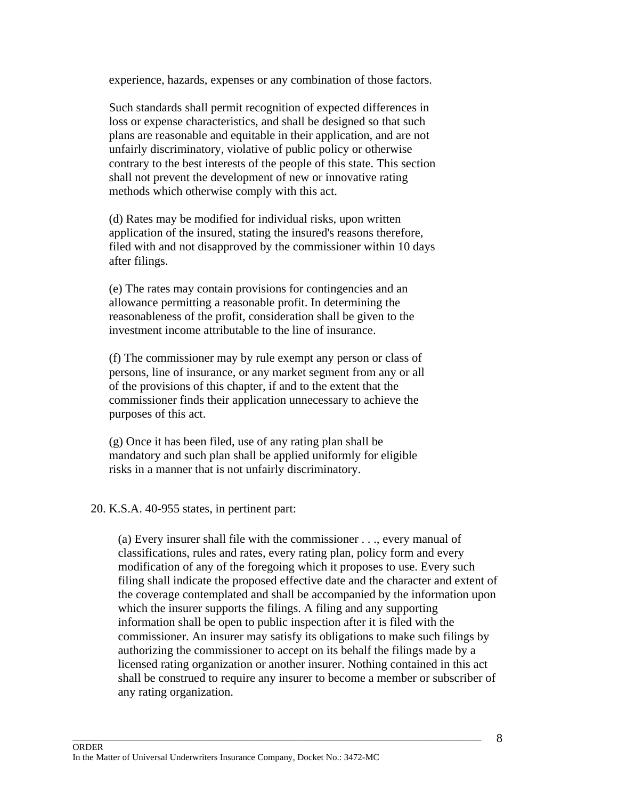experience, hazards, expenses or any combination of those factors.

Such standards shall permit recognition of expected differences in loss or expense characteristics, and shall be designed so that such plans are reasonable and equitable in their application, and are not unfairly discriminatory, violative of public policy or otherwise contrary to the best interests of the people of this state. This section shall not prevent the development of new or innovative rating methods which otherwise comply with this act.

(d) Rates may be modified for individual risks, upon written application of the insured, stating the insured's reasons therefore, filed with and not disapproved by the commissioner within 10 days after filings.

(e) The rates may contain provisions for contingencies and an allowance permitting a reasonable profit. In determining the reasonableness of the profit, consideration shall be given to the investment income attributable to the line of insurance.

(f) The commissioner may by rule exempt any person or class of persons, line of insurance, or any market segment from any or all of the provisions of this chapter, if and to the extent that the commissioner finds their application unnecessary to achieve the purposes of this act.

(g) Once it has been filed, use of any rating plan shall be mandatory and such plan shall be applied uniformly for eligible risks in a manner that is not unfairly discriminatory.

## 20. K.S.A. 40-955 states, in pertinent part:

(a) Every insurer shall file with the commissioner . . ., every manual of classifications, rules and rates, every rating plan, policy form and every modification of any of the foregoing which it proposes to use. Every such filing shall indicate the proposed effective date and the character and extent of the coverage contemplated and shall be accompanied by the information upon which the insurer supports the filings. A filing and any supporting information shall be open to public inspection after it is filed with the commissioner. An insurer may satisfy its obligations to make such filings by authorizing the commissioner to accept on its behalf the filings made by a licensed rating organization or another insurer. Nothing contained in this act shall be construed to require any insurer to become a member or subscriber of any rating organization.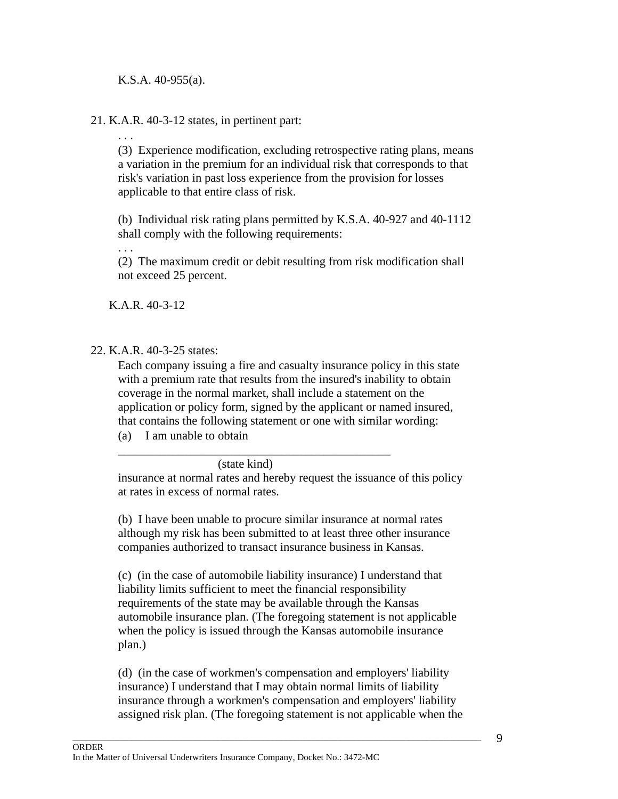K.S.A. 40-955(a).

21. K.A.R. 40-3-12 states, in pertinent part:

. . .

(3) Experience modification, excluding retrospective rating plans, means a variation in the premium for an individual risk that corresponds to that risk's variation in past loss experience from the provision for losses applicable to that entire class of risk.

(b) Individual risk rating plans permitted by K.S.A. 40-927 and 40-1112 shall comply with the following requirements:

. . .

(2) The maximum credit or debit resulting from risk modification shall not exceed 25 percent.

K.A.R. 40-3-12

# 22. K.A.R. 40-3-25 states:

Each company issuing a fire and casualty insurance policy in this state with a premium rate that results from the insured's inability to obtain coverage in the normal market, shall include a statement on the application or policy form, signed by the applicant or named insured, that contains the following statement or one with similar wording:

(a) I am unable to obtain

\_\_\_\_\_\_\_\_\_\_\_\_\_\_\_\_\_\_\_\_\_\_\_\_\_\_\_\_\_\_\_\_\_\_\_\_\_\_\_\_\_\_\_\_\_ (state kind)

insurance at normal rates and hereby request the issuance of this policy at rates in excess of normal rates.

(b) I have been unable to procure similar insurance at normal rates although my risk has been submitted to at least three other insurance companies authorized to transact insurance business in Kansas.

(c) (in the case of automobile liability insurance) I understand that liability limits sufficient to meet the financial responsibility requirements of the state may be available through the Kansas automobile insurance plan. (The foregoing statement is not applicable when the policy is issued through the Kansas automobile insurance plan.)

(d) (in the case of workmen's compensation and employers' liability insurance) I understand that I may obtain normal limits of liability insurance through a workmen's compensation and employers' liability assigned risk plan. (The foregoing statement is not applicable when the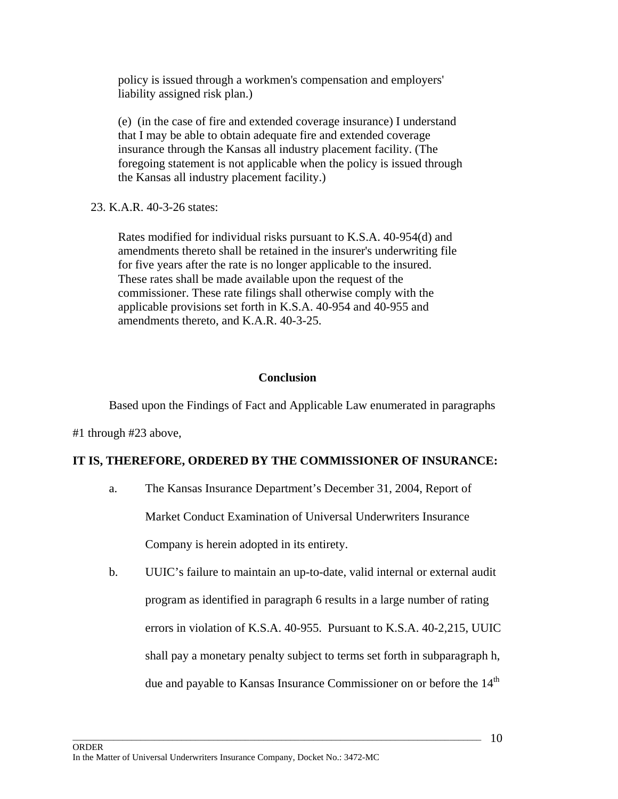policy is issued through a workmen's compensation and employers' liability assigned risk plan.)

(e) (in the case of fire and extended coverage insurance) I understand that I may be able to obtain adequate fire and extended coverage insurance through the Kansas all industry placement facility. (The foregoing statement is not applicable when the policy is issued through the Kansas all industry placement facility.)

23. K.A.R. 40-3-26 states:

Rates modified for individual risks pursuant to K.S.A. 40-954(d) and amendments thereto shall be retained in the insurer's underwriting file for five years after the rate is no longer applicable to the insured. These rates shall be made available upon the request of the commissioner. These rate filings shall otherwise comply with the applicable provisions set forth in K.S.A. 40-954 and 40-955 and amendments thereto, and K.A.R. 40-3-25.

# **Conclusion**

Based upon the Findings of Fact and Applicable Law enumerated in paragraphs

#1 through #23 above,

# **IT IS, THEREFORE, ORDERED BY THE COMMISSIONER OF INSURANCE:**

a. The Kansas Insurance Department's December 31, 2004, Report of

Market Conduct Examination of Universal Underwriters Insurance

Company is herein adopted in its entirety.

b. UUIC's failure to maintain an up-to-date, valid internal or external audit program as identified in paragraph 6 results in a large number of rating errors in violation of K.S.A. 40-955. Pursuant to K.S.A. 40-2,215, UUIC shall pay a monetary penalty subject to terms set forth in subparagraph h, due and payable to Kansas Insurance Commissioner on or before the 14<sup>th</sup>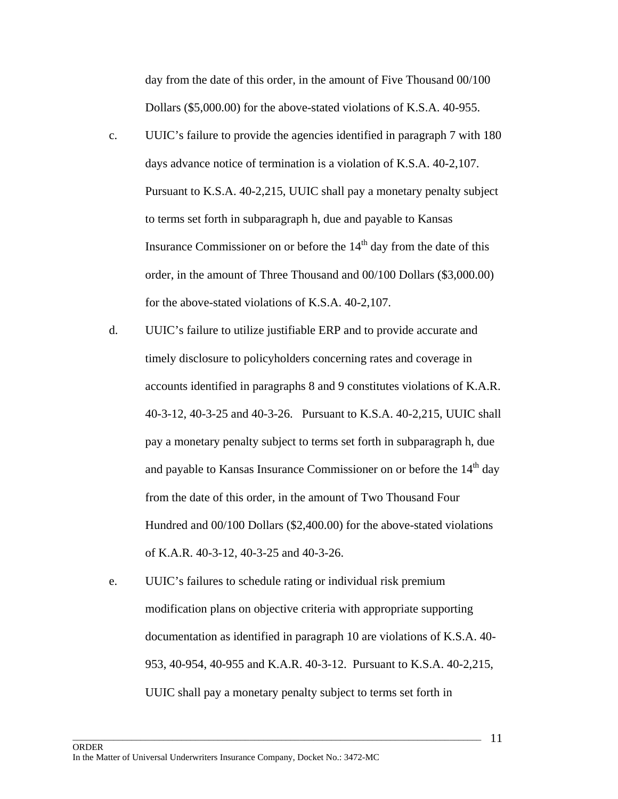day from the date of this order, in the amount of Five Thousand 00/100 Dollars (\$5,000.00) for the above-stated violations of K.S.A. 40-955.

- c. UUIC's failure to provide the agencies identified in paragraph 7 with 180 days advance notice of termination is a violation of K.S.A. 40-2,107. Pursuant to K.S.A. 40-2,215, UUIC shall pay a monetary penalty subject to terms set forth in subparagraph h, due and payable to Kansas Insurance Commissioner on or before the  $14<sup>th</sup>$  day from the date of this order, in the amount of Three Thousand and 00/100 Dollars (\$3,000.00) for the above-stated violations of K.S.A. 40-2,107.
- d. UUIC's failure to utilize justifiable ERP and to provide accurate and timely disclosure to policyholders concerning rates and coverage in accounts identified in paragraphs 8 and 9 constitutes violations of K.A.R. 40-3-12, 40-3-25 and 40-3-26. Pursuant to K.S.A. 40-2,215, UUIC shall pay a monetary penalty subject to terms set forth in subparagraph h, due and payable to Kansas Insurance Commissioner on or before the  $14<sup>th</sup>$  day from the date of this order, in the amount of Two Thousand Four Hundred and 00/100 Dollars (\$2,400.00) for the above-stated violations of K.A.R. 40-3-12, 40-3-25 and 40-3-26.
- e. UUIC's failures to schedule rating or individual risk premium modification plans on objective criteria with appropriate supporting documentation as identified in paragraph 10 are violations of K.S.A. 40- 953, 40-954, 40-955 and K.A.R. 40-3-12. Pursuant to K.S.A. 40-2,215, UUIC shall pay a monetary penalty subject to terms set forth in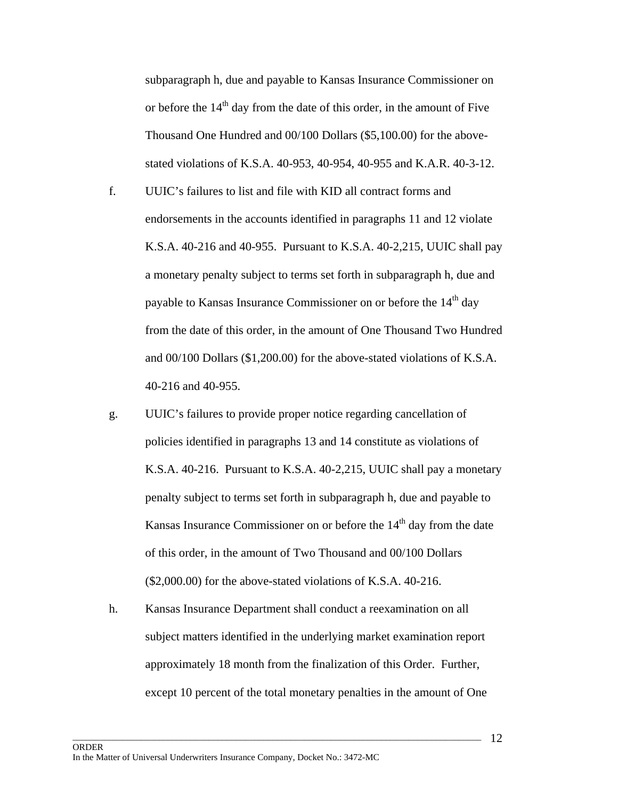subparagraph h, due and payable to Kansas Insurance Commissioner on or before the  $14<sup>th</sup>$  day from the date of this order, in the amount of Five Thousand One Hundred and 00/100 Dollars (\$5,100.00) for the abovestated violations of K.S.A. 40-953, 40-954, 40-955 and K.A.R. 40-3-12.

- f. UUIC's failures to list and file with KID all contract forms and endorsements in the accounts identified in paragraphs 11 and 12 violate K.S.A. 40-216 and 40-955. Pursuant to K.S.A. 40-2,215, UUIC shall pay a monetary penalty subject to terms set forth in subparagraph h, due and payable to Kansas Insurance Commissioner on or before the 14<sup>th</sup> day from the date of this order, in the amount of One Thousand Two Hundred and 00/100 Dollars (\$1,200.00) for the above-stated violations of K.S.A. 40-216 and 40-955.
- g. UUIC's failures to provide proper notice regarding cancellation of policies identified in paragraphs 13 and 14 constitute as violations of K.S.A. 40-216. Pursuant to K.S.A. 40-2,215, UUIC shall pay a monetary penalty subject to terms set forth in subparagraph h, due and payable to Kansas Insurance Commissioner on or before the  $14<sup>th</sup>$  day from the date of this order, in the amount of Two Thousand and 00/100 Dollars (\$2,000.00) for the above-stated violations of K.S.A. 40-216.
- h. Kansas Insurance Department shall conduct a reexamination on all subject matters identified in the underlying market examination report approximately 18 month from the finalization of this Order. Further, except 10 percent of the total monetary penalties in the amount of One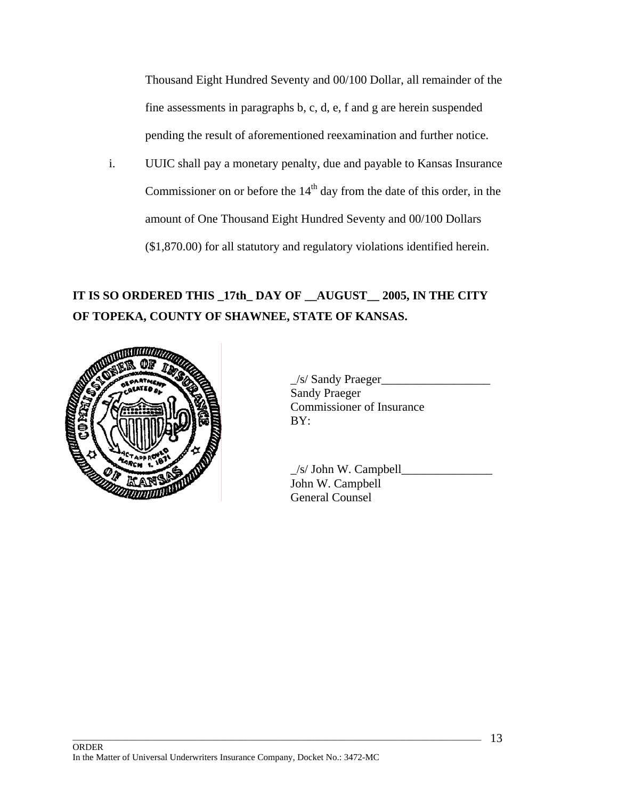Thousand Eight Hundred Seventy and 00/100 Dollar, all remainder of the fine assessments in paragraphs b, c, d, e, f and g are herein suspended pending the result of aforementioned reexamination and further notice.

i. UUIC shall pay a monetary penalty, due and payable to Kansas Insurance Commissioner on or before the  $14<sup>th</sup>$  day from the date of this order, in the amount of One Thousand Eight Hundred Seventy and 00/100 Dollars (\$1,870.00) for all statutory and regulatory violations identified herein.

# **IT IS SO ORDERED THIS \_17th\_ DAY OF \_\_AUGUST\_\_ 2005, IN THE CITY OF TOPEKA, COUNTY OF SHAWNEE, STATE OF KANSAS.**



 $\frac{1}{s}$  Sandy Praeger Sandy Praeger Commissioner of Insurance

 $\angle$ s/ John W. Campbell $\angle$ John W. Campbell General Counsel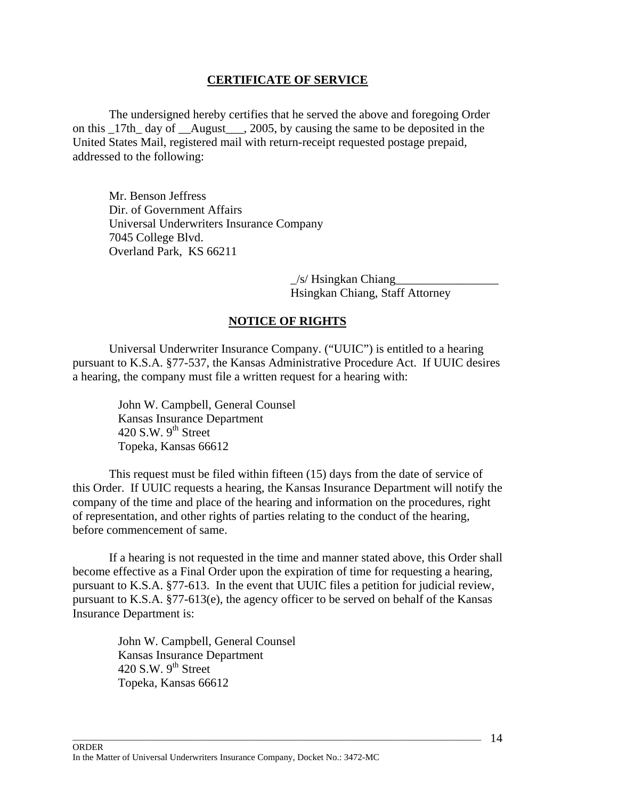## **CERTIFICATE OF SERVICE**

 The undersigned hereby certifies that he served the above and foregoing Order on this 17th day of August, 2005, by causing the same to be deposited in the United States Mail, registered mail with return-receipt requested postage prepaid, addressed to the following:

Mr. Benson Jeffress Dir. of Government Affairs Universal Underwriters Insurance Company 7045 College Blvd. Overland Park, KS 66211

> $/s$ / Hsingkan Chiang Hsingkan Chiang, Staff Attorney

## **NOTICE OF RIGHTS**

 Universal Underwriter Insurance Company. ("UUIC") is entitled to a hearing pursuant to K.S.A. §77-537, the Kansas Administrative Procedure Act. If UUIC desires a hearing, the company must file a written request for a hearing with:

> John W. Campbell, General Counsel Kansas Insurance Department 420 S.W.  $9^{th}$  Street Topeka, Kansas 66612

 This request must be filed within fifteen (15) days from the date of service of this Order. If UUIC requests a hearing, the Kansas Insurance Department will notify the company of the time and place of the hearing and information on the procedures, right of representation, and other rights of parties relating to the conduct of the hearing, before commencement of same.

 If a hearing is not requested in the time and manner stated above, this Order shall become effective as a Final Order upon the expiration of time for requesting a hearing, pursuant to K.S.A. §77-613. In the event that UUIC files a petition for judicial review, pursuant to K.S.A. §77-613(e), the agency officer to be served on behalf of the Kansas Insurance Department is:

 $\Box$  . The contribution of the contribution of the contribution of the contribution of the contribution of the contribution of the contribution of the contribution of the contribution of the contribution of the contributi

John W. Campbell, General Counsel Kansas Insurance Department 420 S.W.  $9<sup>th</sup>$  Street Topeka, Kansas 66612